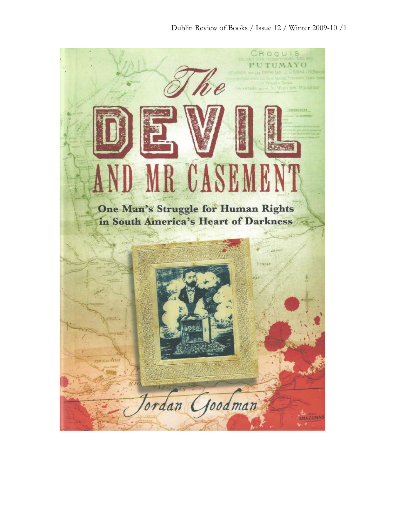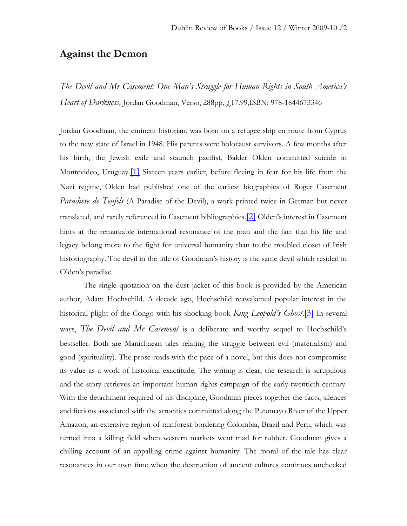## **Against the Demon**

*The Devil and Mr Casement: One Man's Struggle for Human Rights in South America's Heart of Darkness,* Jordan Goodman, Verso, 288pp, £17.99,ISBN: 978-1844673346

Jordan Goodman, the eminent historian, was born on a refugee ship en route from Cyprus to the new state of Israel in 1948. His parents were holocaust survivors. A few months after his birth, the Jewish exile and staunch pacifist, Balder Olden committed suicide in Montevideo, Uruguay.[\[1\]](../../../Users/User/Desktop/drbwinter09finalmitchell%5b1%5d.doc#_edn1) Sixteen years earlier, before fleeing in fear for his life from the Nazi regime, Olden had published one of the earliest biographies of Roger Casement *Paradiese de Teufels* (A Paradise of the Devil), a work printed twice in German but never translated, and rarely referenced in Casement bibliographies.[\[2\]](../../../Users/User/Desktop/drbwinter09finalmitchell%5b1%5d.doc#_edn2) Olden's interest in Casement hints at the remarkable international resonance of the man and the fact that his life and legacy belong more to the fight for universal humanity than to the troubled closet of Irish historiography. The devil in the title of Goodman's history is the same devil which resided in Olden's paradise.

The single quotation on the dust jacket of this book is provided by the American author, Adam Hochschild. A decade ago, Hochschild reawakened popular interest in the historical plight of the Congo with his shocking book *King Leopold's Ghost*.[\[3\]](../../../Users/User/Desktop/drbwinter09finalmitchell%5b1%5d.doc#_edn3) In several ways, *The Devil and Mr Casement* is a deliberate and worthy sequel to Hochschild's bestseller. Both are Manichaean tales relating the struggle between evil (materialism) and good (spirituality). The prose reads with the pace of a novel, but this does not compromise its value as a work of historical exactitude. The writing is clear, the research is scrupulous and the story retrieves an important human rights campaign of the early twentieth century. With the detachment required of his discipline, Goodman pieces together the facts, silences and fictions associated with the atrocities committed along the Putumayo River of the Upper Amazon, an extensive region of rainforest bordering Colombia, Brazil and Peru, which was turned into a killing field when western markets went mad for rubber. Goodman gives a chilling account of an appalling crime against humanity. The moral of the tale has clear resonances in our own time when the destruction of ancient cultures continues unchecked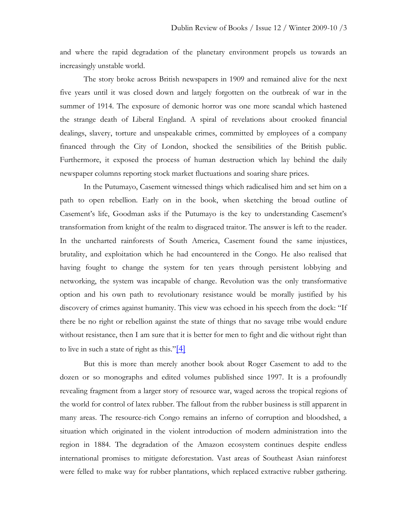and where the rapid degradation of the planetary environment propels us towards an increasingly unstable world.

The story broke across British newspapers in 1909 and remained alive for the next five years until it was closed down and largely forgotten on the outbreak of war in the summer of 1914. The exposure of demonic horror was one more scandal which hastened the strange death of Liberal England. A spiral of revelations about crooked financial dealings, slavery, torture and unspeakable crimes, committed by employees of a company financed through the City of London, shocked the sensibilities of the British public. Furthermore, it exposed the process of human destruction which lay behind the daily newspaper columns reporting stock market fluctuations and soaring share prices.

In the Putumayo, Casement witnessed things which radicalised him and set him on a path to open rebellion. Early on in the book, when sketching the broad outline of Casement's life, Goodman asks if the Putumayo is the key to understanding Casement's transformation from knight of the realm to disgraced traitor. The answer is left to the reader. In the uncharted rainforests of South America, Casement found the same injustices, brutality, and exploitation which he had encountered in the Congo. He also realised that having fought to change the system for ten years through persistent lobbying and networking, the system was incapable of change. Revolution was the only transformative option and his own path to revolutionary resistance would be morally justified by his discovery of crimes against humanity. This view was echoed in his speech from the dock: "If there be no right or rebellion against the state of things that no savage tribe would endure without resistance, then I am sure that it is better for men to fight and die without right than to live in such a state of right as this." $[4]$ 

But this is more than merely another book about Roger Casement to add to the dozen or so monographs and edited volumes published since 1997. It is a profoundly revealing fragment from a larger story of resource war, waged across the tropical regions of the world for control of latex rubber. The fallout from the rubber business is still apparent in many areas. The resource-rich Congo remains an inferno of corruption and bloodshed, a situation which originated in the violent introduction of modern administration into the region in 1884. The degradation of the Amazon ecosystem continues despite endless international promises to mitigate deforestation. Vast areas of Southeast Asian rainforest were felled to make way for rubber plantations, which replaced extractive rubber gathering.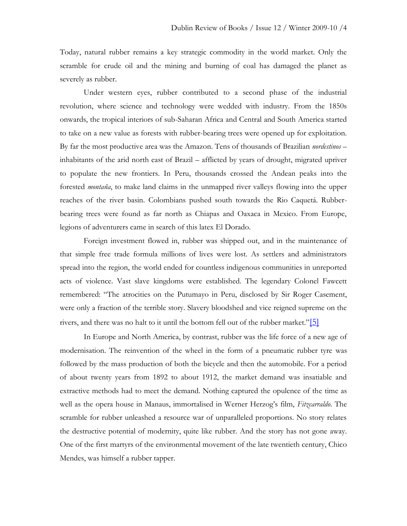Today, natural rubber remains a key strategic commodity in the world market. Only the scramble for crude oil and the mining and burning of coal has damaged the planet as severely as rubber.

Under western eyes, rubber contributed to a second phase of the industrial revolution, where science and technology were wedded with industry. From the 1850s onwards, the tropical interiors of sub-Saharan Africa and Central and South America started to take on a new value as forests with rubber-bearing trees were opened up for exploitation. By far the most productive area was the Amazon. Tens of thousands of Brazilian *nordestinos* – inhabitants of the arid north east of Brazil – afflicted by years of drought, migrated upriver to populate the new frontiers. In Peru, thousands crossed the Andean peaks into the forested *montaña*, to make land claims in the unmapped river valleys flowing into the upper reaches of the river basin. Colombians pushed south towards the Rio Caquetá. Rubberbearing trees were found as far north as Chiapas and Oaxaca in Mexico. From Europe, legions of adventurers came in search of this latex El Dorado.

Foreign investment flowed in, rubber was shipped out, and in the maintenance of that simple free trade formula millions of lives were lost. As settlers and administrators spread into the region, the world ended for countless indigenous communities in unreported acts of violence. Vast slave kingdoms were established. The legendary Colonel Fawcett remembered: "The atrocities on the Putumayo in Peru, disclosed by Sir Roger Casement, were only a fraction of the terrible story. Slavery bloodshed and vice reigned supreme on the rivers, and there was no halt to it until the bottom fell out of the rubber market."[\[5\]](../../../Users/User/Desktop/drbwinter09finalmitchell%5b1%5d.doc#_edn5)

In Europe and North America, by contrast, rubber was the life force of a new age of modernisation. The reinvention of the wheel in the form of a pneumatic rubber tyre was followed by the mass production of both the bicycle and then the automobile. For a period of about twenty years from 1892 to about 1912, the market demand was insatiable and extractive methods had to meet the demand. Nothing captured the opulence of the time as well as the opera house in Manaus, immortalised in Werner Herzog's film, *Fitzcarraldo*. The scramble for rubber unleashed a resource war of unparalleled proportions. No story relates the destructive potential of modernity, quite like rubber. And the story has not gone away. One of the first martyrs of the environmental movement of the late twentieth century, Chico Mendes, was himself a rubber tapper.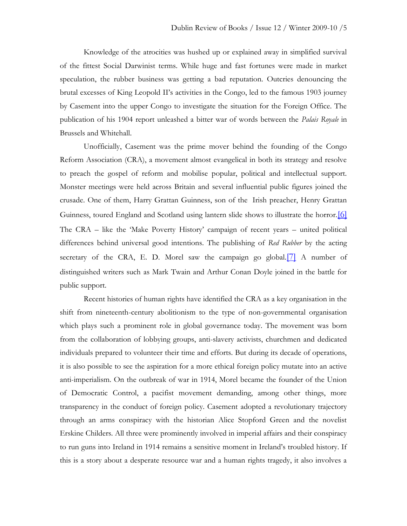Knowledge of the atrocities was hushed up or explained away in simplified survival of the fittest Social Darwinist terms. While huge and fast fortunes were made in market speculation, the rubber business was getting a bad reputation. Outcries denouncing the brutal excesses of King Leopold II's activities in the Congo, led to the famous 1903 journey by Casement into the upper Congo to investigate the situation for the Foreign Office. The publication of his 1904 report unleashed a bitter war of words between the *Palais Royale* in Brussels and Whitehall.

Unofficially, Casement was the prime mover behind the founding of the Congo Reform Association (CRA), a movement almost evangelical in both its strategy and resolve to preach the gospel of reform and mobilise popular, political and intellectual support. Monster meetings were held across Britain and several influential public figures joined the crusade. One of them, Harry Grattan Guinness, son of the Irish preacher, Henry Grattan Guinness, toured England and Scotland using lantern slide shows to illustrate the horror. [\[6\]](../../../Users/User/Desktop/drbwinter09finalmitchell%5b1%5d.doc#_edn6) The CRA – like the 'Make Poverty History' campaign of recent years – united political differences behind universal good intentions. The publishing of *Red Rubber* by the acting secretary of the CRA, E. D. Morel saw the campaign go global.<sup>[\[7\]](../../../Users/User/Desktop/drbwinter09finalmitchell%5b1%5d.doc#_edn7)</sup> A number of distinguished writers such as Mark Twain and Arthur Conan Doyle joined in the battle for public support.

Recent histories of human rights have identified the CRA as a key organisation in the shift from nineteenth-century abolitionism to the type of non-governmental organisation which plays such a prominent role in global governance today. The movement was born from the collaboration of lobbying groups, anti-slavery activists, churchmen and dedicated individuals prepared to volunteer their time and efforts. But during its decade of operations, it is also possible to see the aspiration for a more ethical foreign policy mutate into an active anti-imperialism. On the outbreak of war in 1914, Morel became the founder of the Union of Democratic Control, a pacifist movement demanding, among other things, more transparency in the conduct of foreign policy. Casement adopted a revolutionary trajectory through an arms conspiracy with the historian Alice Stopford Green and the novelist Erskine Childers. All three were prominently involved in imperial affairs and their conspiracy to run guns into Ireland in 1914 remains a sensitive moment in Ireland's troubled history. If this is a story about a desperate resource war and a human rights tragedy, it also involves a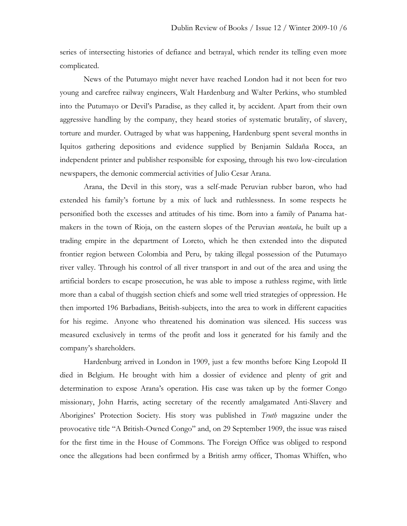series of intersecting histories of defiance and betrayal, which render its telling even more complicated.

News of the Putumayo might never have reached London had it not been for two young and carefree railway engineers, Walt Hardenburg and Walter Perkins, who stumbled into the Putumayo or Devil's Paradise, as they called it, by accident. Apart from their own aggressive handling by the company, they heard stories of systematic brutality, of slavery, torture and murder. Outraged by what was happening, Hardenburg spent several months in Iquitos gathering depositions and evidence supplied by Benjamin Saldaña Rocca, an independent printer and publisher responsible for exposing, through his two low-circulation newspapers, the demonic commercial activities of Julio Cesar Arana.

Arana, the Devil in this story, was a self-made Peruvian rubber baron, who had extended his family's fortune by a mix of luck and ruthlessness. In some respects he personified both the excesses and attitudes of his time. Born into a family of Panama hatmakers in the town of Rioja, on the eastern slopes of the Peruvian *montaña*, he built up a trading empire in the department of Loreto, which he then extended into the disputed frontier region between Colombia and Peru, by taking illegal possession of the Putumayo river valley. Through his control of all river transport in and out of the area and using the artificial borders to escape prosecution, he was able to impose a ruthless regime, with little more than a cabal of thuggish section chiefs and some well tried strategies of oppression. He then imported 196 Barbadians, British-subjects, into the area to work in different capacities for his regime. Anyone who threatened his domination was silenced. His success was measured exclusively in terms of the profit and loss it generated for his family and the company's shareholders.

Hardenburg arrived in London in 1909, just a few months before King Leopold II died in Belgium. He brought with him a dossier of evidence and plenty of grit and determination to expose Arana's operation. His case was taken up by the former Congo missionary, John Harris, acting secretary of the recently amalgamated Anti-Slavery and Aborigines' Protection Society. His story was published in *Truth* magazine under the provocative title "A British-Owned Congo" and, on 29 September 1909, the issue was raised for the first time in the House of Commons. The Foreign Office was obliged to respond once the allegations had been confirmed by a British army officer, Thomas Whiffen, who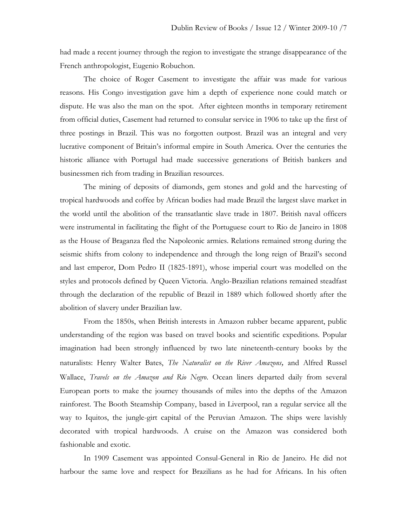had made a recent journey through the region to investigate the strange disappearance of the French anthropologist, Eugenio Robuchon.

The choice of Roger Casement to investigate the affair was made for various reasons. His Congo investigation gave him a depth of experience none could match or dispute. He was also the man on the spot. After eighteen months in temporary retirement from official duties, Casement had returned to consular service in 1906 to take up the first of three postings in Brazil. This was no forgotten outpost. Brazil was an integral and very lucrative component of Britain's informal empire in South America. Over the centuries the historic alliance with Portugal had made successive generations of British bankers and businessmen rich from trading in Brazilian resources.

The mining of deposits of diamonds, gem stones and gold and the harvesting of tropical hardwoods and coffee by African bodies had made Brazil the largest slave market in the world until the abolition of the transatlantic slave trade in 1807. British naval officers were instrumental in facilitating the flight of the Portuguese court to Rio de Janeiro in 1808 as the House of Braganza fled the Napoleonic armies. Relations remained strong during the seismic shifts from colony to independence and through the long reign of Brazil's second and last emperor, Dom Pedro II (1825-1891), whose imperial court was modelled on the styles and protocols defined by Queen Victoria. Anglo-Brazilian relations remained steadfast through the declaration of the republic of Brazil in 1889 which followed shortly after the abolition of slavery under Brazilian law.

From the 1850s, when British interests in Amazon rubber became apparent, public understanding of the region was based on travel books and scientific expeditions. Popular imagination had been strongly influenced by two late nineteenth-century books by the naturalists: Henry Walter Bates, *The Naturalist on the River Amazons,* and Alfred Russel Wallace, *Travels on the Amazon and Rio Negro*. Ocean liners departed daily from several European ports to make the journey thousands of miles into the depths of the Amazon rainforest. The Booth Steamship Company, based in Liverpool, ran a regular service all the way to Iquitos, the jungle-girt capital of the Peruvian Amazon. The ships were lavishly decorated with tropical hardwoods. A cruise on the Amazon was considered both fashionable and exotic.

In 1909 Casement was appointed Consul-General in Rio de Janeiro. He did not harbour the same love and respect for Brazilians as he had for Africans. In his often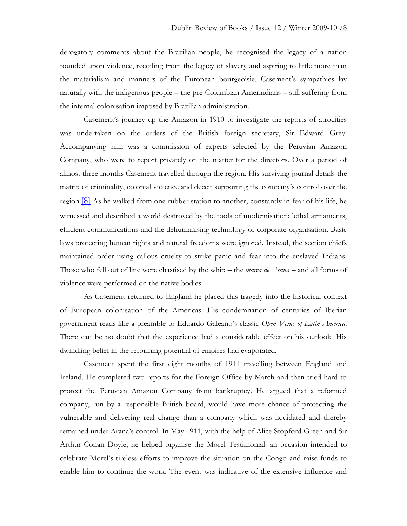derogatory comments about the Brazilian people, he recognised the legacy of a nation founded upon violence, recoiling from the legacy of slavery and aspiring to little more than the materialism and manners of the European bourgeoisie. Casement's sympathies lay naturally with the indigenous people – the pre-Columbian Amerindians – still suffering from the internal colonisation imposed by Brazilian administration.

Casement's journey up the Amazon in 1910 to investigate the reports of atrocities was undertaken on the orders of the British foreign secretary, Sir Edward Grey. Accompanying him was a commission of experts selected by the Peruvian Amazon Company, who were to report privately on the matter for the directors. Over a period of almost three months Casement travelled through the region. His surviving journal details the matrix of criminality, colonial violence and deceit supporting the company's control over the region.[\[8\]](../../../Users/User/Desktop/drbwinter09finalmitchell%5b1%5d.doc#_edn8) As he walked from one rubber station to another, constantly in fear of his life, he witnessed and described a world destroyed by the tools of modernisation: lethal armaments, efficient communications and the dehumanising technology of corporate organisation. Basic laws protecting human rights and natural freedoms were ignored. Instead, the section chiefs maintained order using callous cruelty to strike panic and fear into the enslaved Indians. Those who fell out of line were chastised by the whip – the *marca de Arana* – and all forms of violence were performed on the native bodies.

As Casement returned to England he placed this tragedy into the historical context of European colonisation of the Americas. His condemnation of centuries of Iberian government reads like a preamble to Eduardo Galeano's classic *Open Veins of Latin America*. There can be no doubt that the experience had a considerable effect on his outlook. His dwindling belief in the reforming potential of empires had evaporated.

Casement spent the first eight months of 1911 travelling between England and Ireland. He completed two reports for the Foreign Office by March and then tried hard to protect the Peruvian Amazon Company from bankruptcy. He argued that a reformed company, run by a responsible British board, would have more chance of protecting the vulnerable and delivering real change than a company which was liquidated and thereby remained under Arana's control. In May 1911, with the help of Alice Stopford Green and Sir Arthur Conan Doyle, he helped organise the Morel Testimonial: an occasion intended to celebrate Morel's tireless efforts to improve the situation on the Congo and raise funds to enable him to continue the work. The event was indicative of the extensive influence and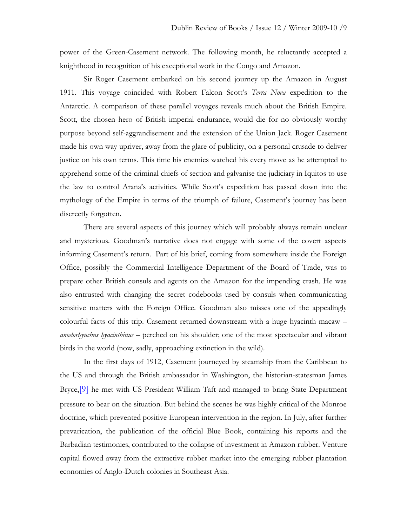power of the Green-Casement network. The following month, he reluctantly accepted a knighthood in recognition of his exceptional work in the Congo and Amazon.

Sir Roger Casement embarked on his second journey up the Amazon in August 1911. This voyage coincided with Robert Falcon Scott's *Terra Nova* expedition to the Antarctic. A comparison of these parallel voyages reveals much about the British Empire. Scott, the chosen hero of British imperial endurance, would die for no obviously worthy purpose beyond self-aggrandisement and the extension of the Union Jack. Roger Casement made his own way upriver, away from the glare of publicity, on a personal crusade to deliver justice on his own terms. This time his enemies watched his every move as he attempted to apprehend some of the criminal chiefs of section and galvanise the judiciary in Iquitos to use the law to control Arana's activities. While Scott's expedition has passed down into the mythology of the Empire in terms of the triumph of failure, Casement's journey has been discreetly forgotten.

There are several aspects of this journey which will probably always remain unclear and mysterious. Goodman's narrative does not engage with some of the covert aspects informing Casement's return. Part of his brief, coming from somewhere inside the Foreign Office, possibly the Commercial Intelligence Department of the Board of Trade, was to prepare other British consuls and agents on the Amazon for the impending crash. He was also entrusted with changing the secret codebooks used by consuls when communicating sensitive matters with the Foreign Office. Goodman also misses one of the appealingly colourful facts of this trip. Casement returned downstream with a huge hyacinth macaw – *anodorhynchus hyacinthinus* – perched on his shoulder; one of the most spectacular and vibrant birds in the world (now, sadly, approaching extinction in the wild).

In the first days of 1912, Casement journeyed by steamship from the Caribbean to the US and through the British ambassador in Washington, the historian-statesman James Bryce, <sup>[\[9\]](../../../Users/User/Desktop/drbwinter09finalmitchell%5b1%5d.doc#_edn9)</sup> he met with US President William Taft and managed to bring State Department pressure to bear on the situation. But behind the scenes he was highly critical of the Monroe doctrine, which prevented positive European intervention in the region. In July, after further prevarication, the publication of the official Blue Book, containing his reports and the Barbadian testimonies, contributed to the collapse of investment in Amazon rubber. Venture capital flowed away from the extractive rubber market into the emerging rubber plantation economies of Anglo-Dutch colonies in Southeast Asia.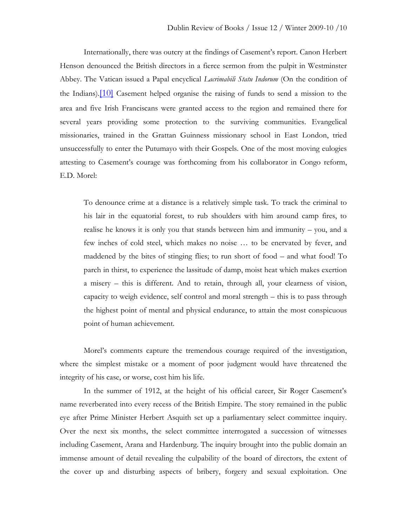Internationally, there was outcry at the findings of Casement's report. Canon Herbert Henson denounced the British directors in a fierce sermon from the pulpit in Westminster Abbey. The Vatican issued a Papal encyclical *Lacrimabili Statu Indorum* (On the condition of the Indians).[\[10\]](../../../Users/User/Desktop/drbwinter09finalmitchell%5b1%5d.doc#_edn10) Casement helped organise the raising of funds to send a mission to the area and five Irish Franciscans were granted access to the region and remained there for several years providing some protection to the surviving communities. Evangelical missionaries, trained in the Grattan Guinness missionary school in East London, tried unsuccessfully to enter the Putumayo with their Gospels. One of the most moving eulogies attesting to Casement's courage was forthcoming from his collaborator in Congo reform, E.D. Morel:

To denounce crime at a distance is a relatively simple task. To track the criminal to his lair in the equatorial forest, to rub shoulders with him around camp fires, to realise he knows it is only you that stands between him and immunity – you, and a few inches of cold steel, which makes no noise … to be enervated by fever, and maddened by the bites of stinging flies; to run short of food – and what food! To parch in thirst, to experience the lassitude of damp, moist heat which makes exertion a misery – this is different. And to retain, through all, your clearness of vision, capacity to weigh evidence, self control and moral strength – this is to pass through the highest point of mental and physical endurance, to attain the most conspicuous point of human achievement.

Morel's comments capture the tremendous courage required of the investigation, where the simplest mistake or a moment of poor judgment would have threatened the integrity of his case, or worse, cost him his life.

In the summer of 1912, at the height of his official career, Sir Roger Casement's name reverberated into every recess of the British Empire. The story remained in the public eye after Prime Minister Herbert Asquith set up a parliamentary select committee inquiry. Over the next six months, the select committee interrogated a succession of witnesses including Casement, Arana and Hardenburg. The inquiry brought into the public domain an immense amount of detail revealing the culpability of the board of directors, the extent of the cover up and disturbing aspects of bribery, forgery and sexual exploitation. One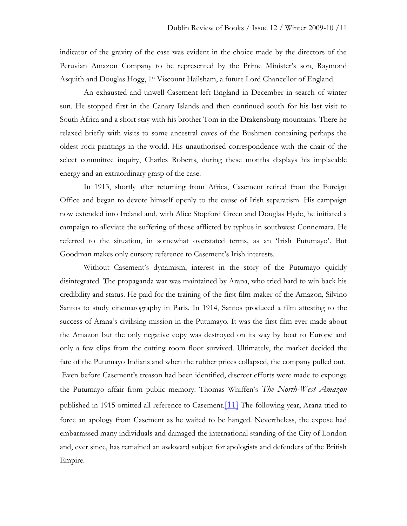indicator of the gravity of the case was evident in the choice made by the directors of the Peruvian Amazon Company to be represented by the Prime Minister's son, Raymond Asquith and Douglas Hogg, 1<sup>st</sup> Viscount Hailsham, a future Lord Chancellor of England.

An exhausted and unwell Casement left England in December in search of winter sun. He stopped first in the Canary Islands and then continued south for his last visit to South Africa and a short stay with his brother Tom in the Drakensburg mountains. There he relaxed briefly with visits to some ancestral caves of the Bushmen containing perhaps the oldest rock paintings in the world. His unauthorised correspondence with the chair of the select committee inquiry, Charles Roberts, during these months displays his implacable energy and an extraordinary grasp of the case.

In 1913, shortly after returning from Africa, Casement retired from the Foreign Office and began to devote himself openly to the cause of Irish separatism. His campaign now extended into Ireland and, with Alice Stopford Green and Douglas Hyde, he initiated a campaign to alleviate the suffering of those afflicted by typhus in southwest Connemara. He referred to the situation, in somewhat overstated terms, as an 'Irish Putumayo'. But Goodman makes only cursory reference to Casement's Irish interests.

Without Casement's dynamism, interest in the story of the Putumayo quickly disintegrated. The propaganda war was maintained by Arana, who tried hard to win back his credibility and status. He paid for the training of the first film-maker of the Amazon, Silvino Santos to study cinematography in Paris. In 1914, Santos produced a film attesting to the success of Arana's civilising mission in the Putumayo. It was the first film ever made about the Amazon but the only negative copy was destroyed on its way by boat to Europe and only a few clips from the cutting room floor survived. Ultimately, the market decided the fate of the Putumayo Indians and when the rubber prices collapsed, the company pulled out. Even before Casement's treason had been identified, discreet efforts were made to expunge the Putumayo affair from public memory. Thomas Whiffen's *The North-West Amazon* published in 1915 omitted all reference to Casement.<sup>[\[11\]](../../../Users/User/Desktop/drbwinter09finalmitchell%5b1%5d.doc#_edn11)</sup> The following year, Arana tried to force an apology from Casement as he waited to be hanged. Nevertheless, the expose had embarrassed many individuals and damaged the international standing of the City of London and, ever since, has remained an awkward subject for apologists and defenders of the British Empire.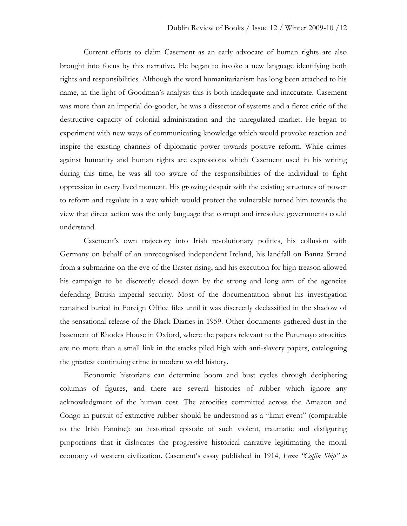Current efforts to claim Casement as an early advocate of human rights are also brought into focus by this narrative. He began to invoke a new language identifying both rights and responsibilities. Although the word humanitarianism has long been attached to his name, in the light of Goodman's analysis this is both inadequate and inaccurate. Casement was more than an imperial do-gooder, he was a dissector of systems and a fierce critic of the destructive capacity of colonial administration and the unregulated market. He began to experiment with new ways of communicating knowledge which would provoke reaction and inspire the existing channels of diplomatic power towards positive reform. While crimes against humanity and human rights are expressions which Casement used in his writing during this time, he was all too aware of the responsibilities of the individual to fight oppression in every lived moment. His growing despair with the existing structures of power to reform and regulate in a way which would protect the vulnerable turned him towards the view that direct action was the only language that corrupt and irresolute governments could understand.

Casement's own trajectory into Irish revolutionary politics, his collusion with Germany on behalf of an unrecognised independent Ireland, his landfall on Banna Strand from a submarine on the eve of the Easter rising, and his execution for high treason allowed his campaign to be discreetly closed down by the strong and long arm of the agencies defending British imperial security. Most of the documentation about his investigation remained buried in Foreign Office files until it was discreetly declassified in the shadow of the sensational release of the Black Diaries in 1959. Other documents gathered dust in the basement of Rhodes House in Oxford, where the papers relevant to the Putumayo atrocities are no more than a small link in the stacks piled high with anti-slavery papers, cataloguing the greatest continuing crime in modern world history.

Economic historians can determine boom and bust cycles through deciphering columns of figures, and there are several histories of rubber which ignore any acknowledgment of the human cost. The atrocities committed across the Amazon and Congo in pursuit of extractive rubber should be understood as a "limit event" (comparable to the Irish Famine): an historical episode of such violent, traumatic and disfiguring proportions that it dislocates the progressive historical narrative legitimating the moral economy of western civilization. Casement's essay published in 1914, *From "Coffin Ship" to*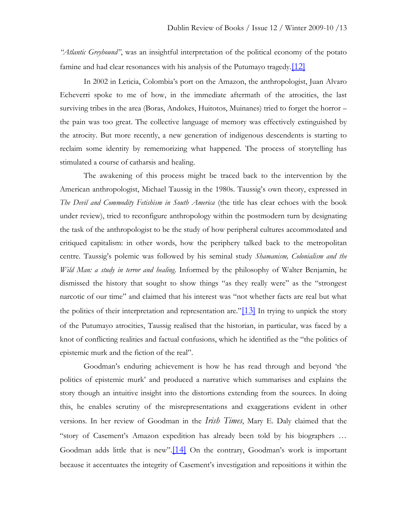*"Atlantic Greyhound"*, was an insightful interpretation of the political economy of the potato famine and had clear resonances with his analysis of the Putumayo tragedy. $[12]$ 

In 2002 in Leticia, Colombia's port on the Amazon, the anthropologist, Juan Alvaro Echeverri spoke to me of how, in the immediate aftermath of the atrocities, the last surviving tribes in the area (Boras, Andokes, Huitotos, Muinanes) tried to forget the horror – the pain was too great. The collective language of memory was effectively extinguished by the atrocity. But more recently, a new generation of indigenous descendents is starting to reclaim some identity by rememorizing what happened. The process of storytelling has stimulated a course of catharsis and healing.

The awakening of this process might be traced back to the intervention by the American anthropologist, Michael Taussig in the 1980s. Taussig's own theory, expressed in *The Devil and Commodity Fetishism in South America* (the title has clear echoes with the book under review), tried to reconfigure anthropology within the postmodern turn by designating the task of the anthropologist to be the study of how peripheral cultures accommodated and critiqued capitalism: in other words, how the periphery talked back to the metropolitan centre. Taussig's polemic was followed by his seminal study *Shamanism, Colonialism and the Wild Man: a study in terror and healing*. Informed by the philosophy of Walter Benjamin, he dismissed the history that sought to show things "as they really were" as the "strongest narcotic of our time" and claimed that his interest was "not whether facts are real but what the politics of their interpretation and representation are." $[13]$  In trying to unpick the story of the Putumayo atrocities, Taussig realised that the historian, in particular, was faced by a knot of conflicting realities and factual confusions, which he identified as the "the politics of epistemic murk and the fiction of the real".

Goodman's enduring achievement is how he has read through and beyond 'the politics of epistemic murk' and produced a narrative which summarises and explains the story though an intuitive insight into the distortions extending from the sources. In doing this, he enables scrutiny of the misrepresentations and exaggerations evident in other versions. In her review of Goodman in the *Irish Times*, Mary E. Daly claimed that the "story of Casement's Amazon expedition has already been told by his biographers … Goodman adds little that is new".[\[14\]](../../../Users/User/Desktop/drbwinter09finalmitchell%5b1%5d.doc#_edn14) On the contrary, Goodman's work is important because it accentuates the integrity of Casement's investigation and repositions it within the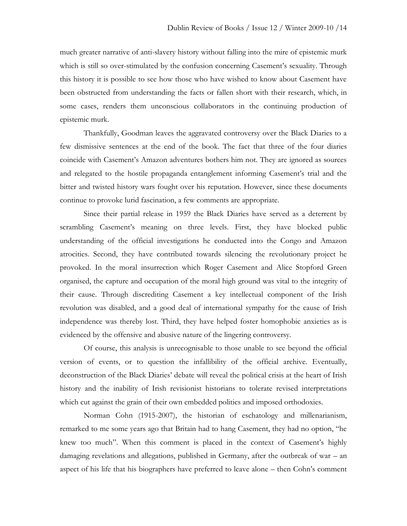much greater narrative of anti-slavery history without falling into the mire of epistemic murk which is still so over-stimulated by the confusion concerning Casement's sexuality. Through this history it is possible to see how those who have wished to know about Casement have been obstructed from understanding the facts or fallen short with their research, which, in some cases, renders them unconscious collaborators in the continuing production of epistemic murk.

Thankfully, Goodman leaves the aggravated controversy over the Black Diaries to a few dismissive sentences at the end of the book. The fact that three of the four diaries coincide with Casement's Amazon adventures bothers him not. They are ignored as sources and relegated to the hostile propaganda entanglement informing Casement's trial and the bitter and twisted history wars fought over his reputation. However, since these documents continue to provoke lurid fascination, a few comments are appropriate.

Since their partial release in 1959 the Black Diaries have served as a deterrent by scrambling Casement's meaning on three levels. First, they have blocked public understanding of the official investigations he conducted into the Congo and Amazon atrocities. Second, they have contributed towards silencing the revolutionary project he provoked. In the moral insurrection which Roger Casement and Alice Stopford Green organised, the capture and occupation of the moral high ground was vital to the integrity of their cause. Through discrediting Casement a key intellectual component of the Irish revolution was disabled, and a good deal of international sympathy for the cause of Irish independence was thereby lost. Third, they have helped foster homophobic anxieties as is evidenced by the offensive and abusive nature of the lingering controversy.

Of course, this analysis is unrecognisable to those unable to see beyond the official version of events, or to question the infallibility of the official archive. Eventually, deconstruction of the Black Diaries' debate will reveal the political crisis at the heart of Irish history and the inability of Irish revisionist historians to tolerate revised interpretations which cut against the grain of their own embedded politics and imposed orthodoxies.

Norman Cohn (1915-2007), the historian of eschatology and millenarianism, remarked to me some years ago that Britain had to hang Casement, they had no option, "he knew too much". When this comment is placed in the context of Casement's highly damaging revelations and allegations, published in Germany, after the outbreak of war – an aspect of his life that his biographers have preferred to leave alone – then Cohn's comment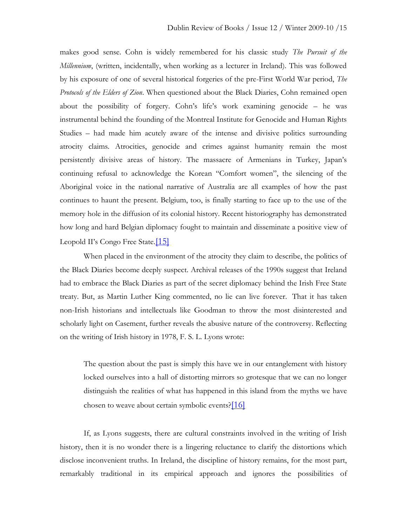makes good sense. Cohn is widely remembered for his classic study *The Pursuit of the Millennium*, (written, incidentally, when working as a lecturer in Ireland). This was followed by his exposure of one of several historical forgeries of the pre-First World War period, *The Protocols of the Elders of Zion*. When questioned about the Black Diaries, Cohn remained open about the possibility of forgery. Cohn's life's work examining genocide – he was instrumental behind the founding of the Montreal Institute for Genocide and Human Rights Studies – had made him acutely aware of the intense and divisive politics surrounding atrocity claims. Atrocities, genocide and crimes against humanity remain the most persistently divisive areas of history. The massacre of Armenians in Turkey, Japan's continuing refusal to acknowledge the Korean "Comfort women", the silencing of the Aboriginal voice in the national narrative of Australia are all examples of how the past continues to haunt the present. Belgium, too, is finally starting to face up to the use of the memory hole in the diffusion of its colonial history. Recent historiography has demonstrated how long and hard Belgian diplomacy fought to maintain and disseminate a positive view of Leopold II's Congo Free State.[\[15\]](../../../Users/User/Desktop/drbwinter09finalmitchell%5b1%5d.doc#_edn15)

When placed in the environment of the atrocity they claim to describe, the politics of the Black Diaries become deeply suspect. Archival releases of the 1990s suggest that Ireland had to embrace the Black Diaries as part of the secret diplomacy behind the Irish Free State treaty. But, as Martin Luther King commented, no lie can live forever. That it has taken non-Irish historians and intellectuals like Goodman to throw the most disinterested and scholarly light on Casement, further reveals the abusive nature of the controversy. Reflecting on the writing of Irish history in 1978, F. S. L. Lyons wrote:

The question about the past is simply this have we in our entanglement with history locked ourselves into a hall of distorting mirrors so grotesque that we can no longer distinguish the realities of what has happened in this island from the myths we have chosen to weave about certain symbolic events? $[16]$ 

If, as Lyons suggests, there are cultural constraints involved in the writing of Irish history, then it is no wonder there is a lingering reluctance to clarify the distortions which disclose inconvenient truths. In Ireland, the discipline of history remains, for the most part, remarkably traditional in its empirical approach and ignores the possibilities of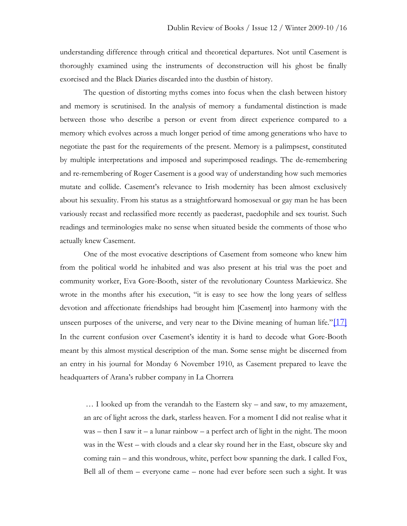understanding difference through critical and theoretical departures. Not until Casement is thoroughly examined using the instruments of deconstruction will his ghost be finally exorcised and the Black Diaries discarded into the dustbin of history.

The question of distorting myths comes into focus when the clash between history and memory is scrutinised. In the analysis of memory a fundamental distinction is made between those who describe a person or event from direct experience compared to a memory which evolves across a much longer period of time among generations who have to negotiate the past for the requirements of the present. Memory is a palimpsest, constituted by multiple interpretations and imposed and superimposed readings. The de-remembering and re-remembering of Roger Casement is a good way of understanding how such memories mutate and collide. Casement's relevance to Irish modernity has been almost exclusively about his sexuality. From his status as a straightforward homosexual or gay man he has been variously recast and reclassified more recently as paederast, paedophile and sex tourist. Such readings and terminologies make no sense when situated beside the comments of those who actually knew Casement.

One of the most evocative descriptions of Casement from someone who knew him from the political world he inhabited and was also present at his trial was the poet and community worker, Eva Gore-Booth, sister of the revolutionary Countess Markiewicz. She wrote in the months after his execution, "it is easy to see how the long years of selfless devotion and affectionate friendships had brought him [Casement] into harmony with the unseen purposes of the universe, and very near to the Divine meaning of human life."[\[17\]](../../../Users/User/Desktop/drbwinter09finalmitchell%5b1%5d.doc#_edn17) In the current confusion over Casement's identity it is hard to decode what Gore-Booth meant by this almost mystical description of the man. Some sense might be discerned from an entry in his journal for Monday 6 November 1910, as Casement prepared to leave the headquarters of Arana's rubber company in La Chorrera

… I looked up from the verandah to the Eastern sky – and saw, to my amazement, an arc of light across the dark, starless heaven. For a moment I did not realise what it was – then I saw it – a lunar rainbow – a perfect arch of light in the night. The moon was in the West – with clouds and a clear sky round her in the East, obscure sky and coming rain – and this wondrous, white, perfect bow spanning the dark. I called Fox, Bell all of them – everyone came – none had ever before seen such a sight. It was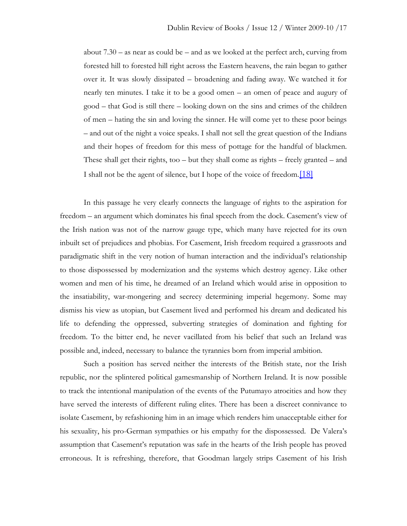about  $7.30 -$  as near as could be – and as we looked at the perfect arch, curving from forested hill to forested hill right across the Eastern heavens, the rain began to gather over it. It was slowly dissipated – broadening and fading away. We watched it for nearly ten minutes. I take it to be a good omen – an omen of peace and augury of good – that God is still there – looking down on the sins and crimes of the children of men – hating the sin and loving the sinner. He will come yet to these poor beings – and out of the night a voice speaks. I shall not sell the great question of the Indians and their hopes of freedom for this mess of pottage for the handful of blackmen. These shall get their rights, too – but they shall come as rights – freely granted – and I shall not be the agent of silence, but I hope of the voice of freedom.<sup>[\[18\]](../../../Users/User/Desktop/drbwinter09finalmitchell%5b1%5d.doc#_edn18)</sup>

In this passage he very clearly connects the language of rights to the aspiration for freedom – an argument which dominates his final speech from the dock. Casement's view of the Irish nation was not of the narrow gauge type, which many have rejected for its own inbuilt set of prejudices and phobias. For Casement, Irish freedom required a grassroots and paradigmatic shift in the very notion of human interaction and the individual's relationship to those dispossessed by modernization and the systems which destroy agency. Like other women and men of his time, he dreamed of an Ireland which would arise in opposition to the insatiability, war-mongering and secrecy determining imperial hegemony. Some may dismiss his view as utopian, but Casement lived and performed his dream and dedicated his life to defending the oppressed, subverting strategies of domination and fighting for freedom. To the bitter end, he never vacillated from his belief that such an Ireland was possible and, indeed, necessary to balance the tyrannies born from imperial ambition.

Such a position has served neither the interests of the British state, nor the Irish republic, nor the splintered political gamesmanship of Northern Ireland. It is now possible to track the intentional manipulation of the events of the Putumayo atrocities and how they have served the interests of different ruling elites. There has been a discreet connivance to isolate Casement, by refashioning him in an image which renders him unacceptable either for his sexuality, his pro-German sympathies or his empathy for the dispossessed. De Valera's assumption that Casement's reputation was safe in the hearts of the Irish people has proved erroneous. It is refreshing, therefore, that Goodman largely strips Casement of his Irish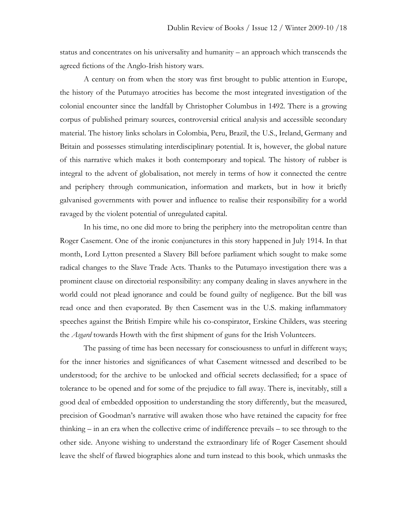status and concentrates on his universality and humanity – an approach which transcends the agreed fictions of the Anglo-Irish history wars.

A century on from when the story was first brought to public attention in Europe, the history of the Putumayo atrocities has become the most integrated investigation of the colonial encounter since the landfall by Christopher Columbus in 1492. There is a growing corpus of published primary sources, controversial critical analysis and accessible secondary material. The history links scholars in Colombia, Peru, Brazil, the U.S., Ireland, Germany and Britain and possesses stimulating interdisciplinary potential. It is, however, the global nature of this narrative which makes it both contemporary and topical. The history of rubber is integral to the advent of globalisation, not merely in terms of how it connected the centre and periphery through communication, information and markets, but in how it briefly galvanised governments with power and influence to realise their responsibility for a world ravaged by the violent potential of unregulated capital.

In his time, no one did more to bring the periphery into the metropolitan centre than Roger Casement. One of the ironic conjunctures in this story happened in July 1914. In that month, Lord Lytton presented a Slavery Bill before parliament which sought to make some radical changes to the Slave Trade Acts. Thanks to the Putumayo investigation there was a prominent clause on directorial responsibility: any company dealing in slaves anywhere in the world could not plead ignorance and could be found guilty of negligence. But the bill was read once and then evaporated. By then Casement was in the U.S. making inflammatory speeches against the British Empire while his co-conspirator, Erskine Childers, was steering the *Asgard* towards Howth with the first shipment of guns for the Irish Volunteers.

The passing of time has been necessary for consciousness to unfurl in different ways; for the inner histories and significances of what Casement witnessed and described to be understood; for the archive to be unlocked and official secrets declassified; for a space of tolerance to be opened and for some of the prejudice to fall away. There is, inevitably, still a good deal of embedded opposition to understanding the story differently, but the measured, precision of Goodman's narrative will awaken those who have retained the capacity for free thinking – in an era when the collective crime of indifference prevails – to see through to the other side. Anyone wishing to understand the extraordinary life of Roger Casement should leave the shelf of flawed biographies alone and turn instead to this book, which unmasks the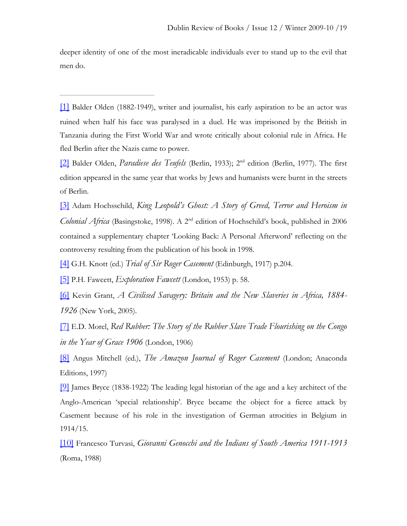deeper identity of one of the most ineradicable individuals ever to stand up to the evil that men do.

[\[1\]](../../../Users/User/Desktop/drbwinter09finalmitchell%5b1%5d.doc#_ednref1) Balder Olden (1882-1949), writer and journalist, his early aspiration to be an actor was ruined when half his face was paralysed in a duel. He was imprisoned by the British in Tanzania during the First World War and wrote critically about colonial rule in Africa. He fled Berlin after the Nazis came to power.

[\[2\]](../../../Users/User/Desktop/drbwinter09finalmitchell%5b1%5d.doc#_ednref2) Balder Olden, *Paradiese des Teufels* (Berlin, 1933); 2nd edition (Berlin, 1977). The first edition appeared in the same year that works by Jews and humanists were burnt in the streets of Berlin.

[\[3\]](../../../Users/User/Desktop/drbwinter09finalmitchell%5b1%5d.doc#_ednref3) Adam Hochsschild, *King Leopold's Ghost: A Story of Greed, Terror and Heroism in Colonial Africa* (Basingstoke, 1998). A 2<sup>nd</sup> edition of Hochschild's book, published in 2006 contained a supplementary chapter 'Looking Back: A Personal Afterword' reflecting on the controversy resulting from the publication of his book in 1998.

[\[4\]](../../../Users/User/Desktop/drbwinter09finalmitchell%5b1%5d.doc#_ednref4) G.H. Knott (ed.) *Trial of Sir Roger Casement* (Edinburgh, 1917) p.204.

[\[5\]](../../../Users/User/Desktop/drbwinter09finalmitchell%5b1%5d.doc#_ednref5) P.H. Fawcett, *Exploration Fawcett* (London, 1953) p. 58.

[\[6\]](../../../Users/User/Desktop/drbwinter09finalmitchell%5b1%5d.doc#_ednref6) Kevin Grant, *A Civilised Savagery: Britain and the New Slaveries in Africa, 1884- 1926* (New York, 2005).

[\[7\]](../../../Users/User/Desktop/drbwinter09finalmitchell%5b1%5d.doc#_ednref7) E.D. Morel, *Red Rubber: The Story of the Rubber Slave Trade Flourishing on the Congo in the Year of Grace 1906* (London, 1906)

[\[8\]](../../../Users/User/Desktop/drbwinter09finalmitchell%5b1%5d.doc#_ednref8) Angus Mitchell (ed.), *The Amazon Journal of Roger Casement* (London; Anaconda Editions, 1997)

[\[9\]](../../../Users/User/Desktop/drbwinter09finalmitchell%5b1%5d.doc#_ednref9) James Bryce (1838-1922) The leading legal historian of the age and a key architect of the Anglo-American 'special relationship'. Bryce became the object for a fierce attack by Casement because of his role in the investigation of German atrocities in Belgium in 1914/15.

[\[10\]](../../../Users/User/Desktop/drbwinter09finalmitchell%5b1%5d.doc#_ednref10) Francesco Turvasi, *Giovanni Genocchi and the Indians of South America 1911-1913* (Roma, 1988)